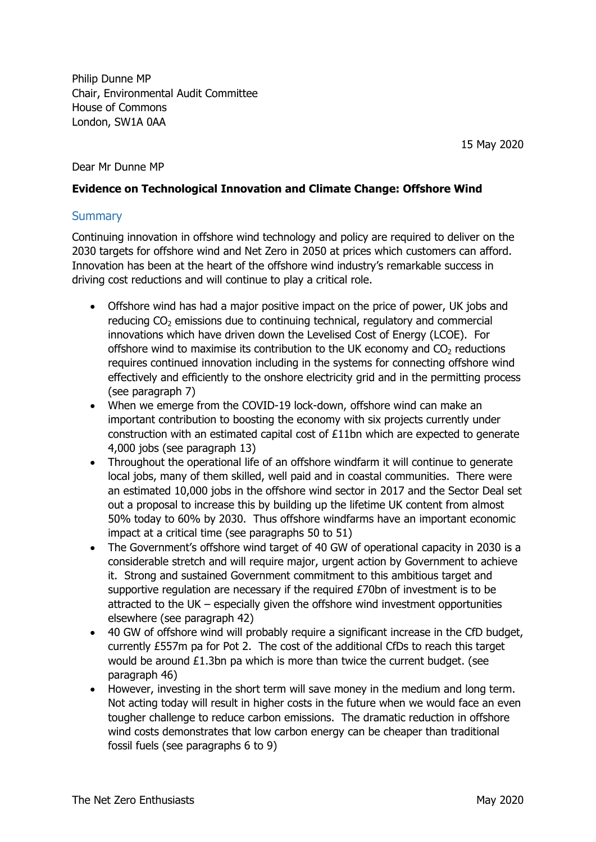Philip Dunne MP Chair, Environmental Audit Committee House of Commons London, SW1A 0AA

15 May 2020

#### Dear Mr Dunne MP

#### **Evidence on Technological Innovation and Climate Change: Offshore Wind**

#### **Summary**

Continuing innovation in offshore wind technology and policy are required to deliver on the 2030 targets for offshore wind and Net Zero in 2050 at prices which customers can afford. Innovation has been at the heart of the offshore wind industry's remarkable success in driving cost reductions and will continue to play a critical role.

- Offshore wind has had a major positive impact on the price of power, UK jobs and reducing  $CO<sub>2</sub>$  emissions due to continuing technical, regulatory and commercial innovations which have driven down the Levelised Cost of Energy (LCOE). For offshore wind to maximise its contribution to the UK economy and  $CO<sub>2</sub>$  reductions requires continued innovation including in the systems for connecting offshore wind effectively and efficiently to the onshore electricity grid and in the permitting process (see paragraph [7](#page-2-0))
- When we emerge from the COVID-19 lock-down, offshore wind can make an important contribution to boosting the economy with six projects currently under construction with an estimated capital cost of £11bn which are expected to generate 4,000 jobs (see paragraph [13](#page-3-0))
- Throughout the operational life of an offshore windfarm it will continue to generate local jobs, many of them skilled, well paid and in coastal communities. There were an estimated 10,000 jobs in the offshore wind sector in 2017 and the Sector Deal set out a proposal to increase this by building up the lifetime UK content from almost 50% today to 60% by 2030. Thus offshore windfarms have an important economic impact at a critical time (see paragraphs [50](#page-13-0) to [51\)](#page-13-1)
- The Government's offshore wind target of 40 GW of operational capacity in 2030 is a considerable stretch and will require major, urgent action by Government to achieve it. Strong and sustained Government commitment to this ambitious target and supportive regulation are necessary if the required £70bn of investment is to be attracted to the UK – especially given the offshore wind investment opportunities elsewhere (see paragraph [42](#page-10-0))
- 40 GW of offshore wind will probably require a significant increase in the CfD budget, currently £557m pa for Pot 2. The cost of the additional CfDs to reach this target would be around £1.3bn pa which is more than twice the current budget. (see paragraph [46](#page-12-0))
- However, investing in the short term will save money in the medium and long term. Not acting today will result in higher costs in the future when we would face an even tougher challenge to reduce carbon emissions. The dramatic reduction in offshore wind costs demonstrates that low carbon energy can be cheaper than traditional fossil fuels (see paragraphs [6](#page-2-1) to [9\)](#page-2-2)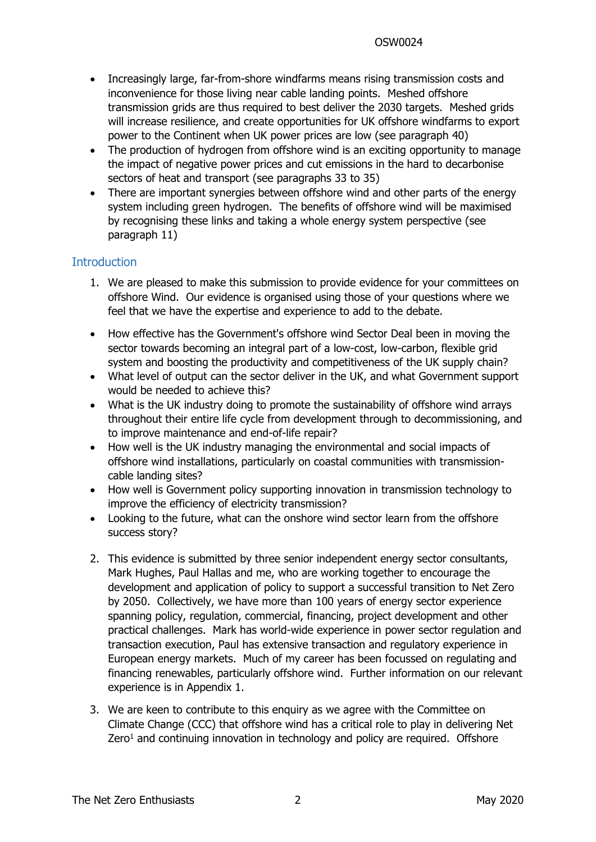- Increasingly large, far-from-shore windfarms means rising transmission costs and inconvenience for those living near cable landing points. Meshed offshore transmission grids are thus required to best deliver the 2030 targets. Meshed grids will increase resilience, and create opportunities for UK offshore windfarms to export power to the Continent when UK power prices are low (see paragraph [40\)](#page-9-0)
- The production of hydrogen from offshore wind is an exciting opportunity to manage the impact of negative power prices and cut emissions in the hard to decarbonise sectors of heat and transport (see paragraphs [33](#page-8-0) to [35](#page-8-1))
- There are important synergies between offshore wind and other parts of the energy system including green hydrogen. The benefits of offshore wind will be maximised by recognising these links and taking a whole energy system perspective (see paragraph [11](#page-3-1))

## **Introduction**

- 1. We are pleased to make this submission to provide evidence for your committees on offshore Wind. Our evidence is organised using those of your questions where we feel that we have the expertise and experience to add to the debate.
- How effective has the Government's offshore wind Sector Deal been in moving the sector towards becoming an integral part of a low-cost, low-carbon, flexible grid system and boosting the productivity and competitiveness of the UK supply chain?
- What level of output can the sector deliver in the UK, and what Government support would be needed to achieve this?
- What is the UK industry doing to promote the sustainability of offshore wind arrays throughout their entire life cycle from development through to decommissioning, and to improve maintenance and end-of-life repair?
- How well is the UK industry managing the environmental and social impacts of offshore wind installations, particularly on coastal communities with transmissioncable landing sites?
- How well is Government policy supporting innovation in transmission technology to improve the efficiency of electricity transmission?
- Looking to the future, what can the onshore wind sector learn from the offshore success story?
- 2. This evidence is submitted by three senior independent energy sector consultants, Mark Hughes, Paul Hallas and me, who are working together to encourage the development and application of policy to support a successful transition to Net Zero by 2050. Collectively, we have more than 100 years of energy sector experience spanning policy, regulation, commercial, financing, project development and other practical challenges. Mark has world-wide experience in power sector regulation and transaction execution, Paul has extensive transaction and regulatory experience in European energy markets. Much of my career has been focussed on regulating and financing renewables, particularly offshore wind. Further information on our relevant experience is in Appendix 1.
- 3. We are keen to contribute to this enquiry as we agree with the Committee on Climate Change (CCC) that offshore wind has a critical role to play in delivering Net Zero<sup>1</sup> and continuing innovation in technology and policy are required. Offshore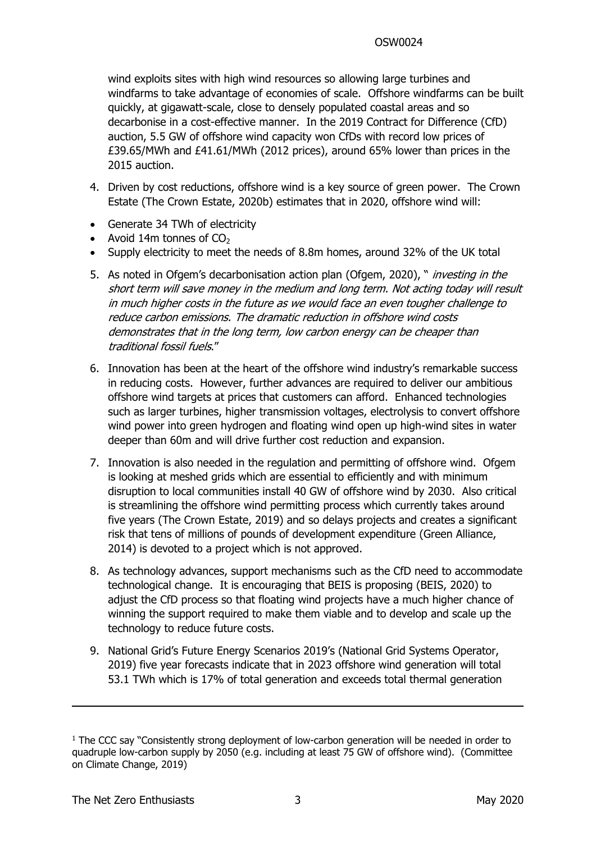wind exploits sites with high wind resources so allowing large turbines and windfarms to take advantage of economies of scale. Offshore windfarms can be built quickly, at gigawatt-scale, close to densely populated coastal areas and so decarbonise in a cost-effective manner. In the 2019 Contract for Difference (CfD) auction, 5.5 GW of offshore wind capacity won CfDs with record low prices of £39.65/MWh and £41.61/MWh (2012 prices), around 65% lower than prices in the 2015 auction.

- 4. Driven by cost reductions, offshore wind is a key source of green power. The Crown Estate (The Crown Estate, 2020b) estimates that in 2020, offshore wind will:
- Generate 34 TWh of electricity
- Avoid 14m tonnes of  $CO<sub>2</sub>$
- Supply electricity to meet the needs of 8.8m homes, around 32% of the UK total
- 5. As noted in Ofgem's decarbonisation action plan (Ofgem, 2020), " *investing in the short term will save money in the medium and long term. Not acting today will result in much higher costs in the future as we would face an even tougher challenge to reduce carbon emissions. The dramatic reduction in offshore wind costs demonstrates that in the long term, low carbon energy can be cheaper than traditional fossil fuels*."
- <span id="page-2-1"></span>6. Innovation has been at the heart of the offshore wind industry's remarkable success in reducing costs. However, further advances are required to deliver our ambitious offshore wind targets at prices that customers can afford. Enhanced technologies such as larger turbines, higher transmission voltages, electrolysis to convert offshore wind power into green hydrogen and floating wind open up high-wind sites in water deeper than 60m and will drive further cost reduction and expansion.
- <span id="page-2-0"></span>7. Innovation is also needed in the regulation and permitting of offshore wind. Ofgem is looking at meshed grids which are essential to efficiently and with minimum disruption to local communities install 40 GW of offshore wind by 2030. Also critical is streamlining the offshore wind permitting process which currently takes around five years (The Crown Estate, 2019) and so delays projects and creates a significant risk that tens of millions of pounds of development expenditure (Green Alliance, 2014) is devoted to a project which is not approved.
- 8. As technology advances, support mechanisms such as the CfD need to accommodate technological change. It is encouraging that BEIS is proposing (BEIS, 2020) to adjust the CfD process so that floating wind projects have a much higher chance of winning the support required to make them viable and to develop and scale up the technology to reduce future costs.
- <span id="page-2-2"></span>9. National Grid's Future Energy Scenarios 2019's (National Grid Systems Operator, 2019) five year forecasts indicate that in 2023 offshore wind generation will total 53.1 TWh which is 17% of total generation and exceeds total thermal generation

<sup>&</sup>lt;sup>1</sup> The CCC say "Consistently strong deployment of low-carbon generation will be needed in order to quadruple low-carbon supply by 2050 (e.g. including at least 75 GW of offshore wind). (Committee on Climate Change, 2019)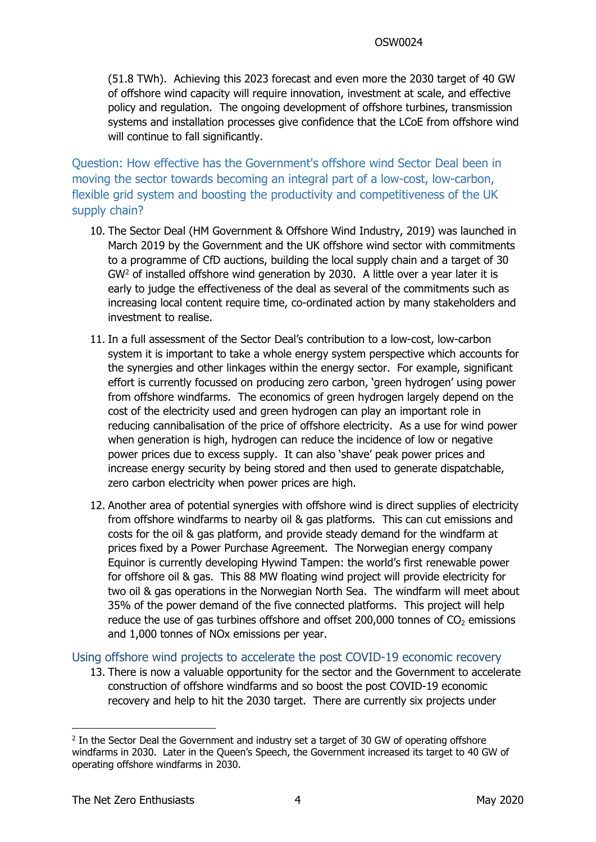(51.8 TWh). Achieving this 2023 forecast and even more the 2030 target of 40 GW of offshore wind capacity will require innovation, investment at scale, and effective policy and regulation. The ongoing development of offshore turbines, transmission systems and installation processes give confidence that the LCoE from offshore wind will continue to fall significantly.

Question: How effective has the Government's offshore wind Sector Deal been in moving the sector towards becoming an integral part of a low-cost, low-carbon, flexible grid system and boosting the productivity and competitiveness of the UK supply chain?

- 10. The Sector Deal (HM Government & Offshore Wind Industry, 2019) was launched in March 2019 by the Government and the UK offshore wind sector with commitments to a programme of CfD auctions, building the local supply chain and a target of 30 GW<sup>2</sup> of installed offshore wind generation by 2030. A little over a year later it is early to judge the effectiveness of the deal as several of the commitments such as increasing local content require time, co-ordinated action by many stakeholders and investment to realise.
- <span id="page-3-1"></span>11. In a full assessment of the Sector Deal's contribution to a low-cost, low-carbon system it is important to take a whole energy system perspective which accounts for the synergies and other linkages within the energy sector. For example, significant effort is currently focussed on producing zero carbon, 'green hydrogen' using power from offshore windfarms. The economics of green hydrogen largely depend on the cost of the electricity used and green hydrogen can play an important role in reducing cannibalisation of the price of offshore electricity. As a use for wind power when generation is high, hydrogen can reduce the incidence of low or negative power prices due to excess supply. It can also 'shave' peak power prices and increase energy security by being stored and then used to generate dispatchable, zero carbon electricity when power prices are high.
- 12. Another area of potential synergies with offshore wind is direct supplies of electricity from offshore windfarms to nearby oil & gas platforms. This can cut emissions and costs for the oil & gas platform, and provide steady demand for the windfarm at prices fixed by a Power Purchase Agreement. The Norwegian energy company Equinor is currently developing Hywind Tampen: the world's first renewable power for offshore oil & gas. This 88 MW floating wind project will provide electricity for two oil & gas operations in the Norwegian North Sea. The windfarm will meet about 35% of the power demand of the five connected platforms. This project will help reduce the use of gas turbines offshore and offset 200,000 tonnes of  $CO<sub>2</sub>$  emissions and 1,000 tonnes of NOx emissions per year.

### Using offshore wind projects to accelerate the post COVID-19 economic recovery

<span id="page-3-0"></span>13. There is now a valuable opportunity for the sector and the Government to accelerate construction of offshore windfarms and so boost the post COVID-19 economic recovery and help to hit the 2030 target. There are currently six projects under

<sup>&</sup>lt;sup>2</sup> In the Sector Deal the Government and industry set a target of 30 GW of operating offshore windfarms in 2030. Later in the Queen's Speech, the Government increased its target to 40 GW of operating offshore windfarms in 2030.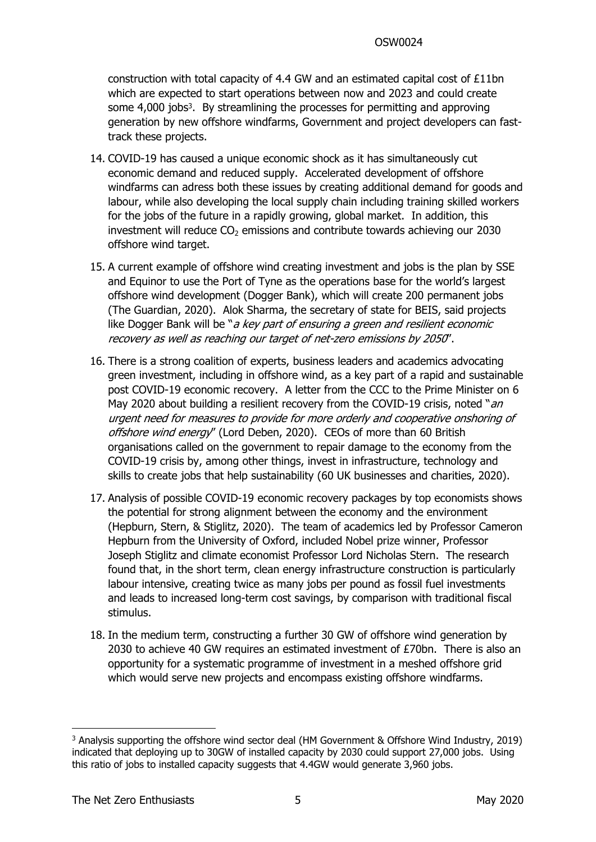construction with total capacity of 4.4 GW and an estimated capital cost of £11bn which are expected to start operations between now and 2023 and could create some 4,000 jobs<sup>3</sup>. By streamlining the processes for permitting and approving generation by new offshore windfarms, Government and project developers can fasttrack these projects.

- 14. COVID-19 has caused a unique economic shock as it has simultaneously cut economic demand and reduced supply. Accelerated development of offshore windfarms can adress both these issues by creating additional demand for goods and labour, while also developing the local supply chain including training skilled workers for the jobs of the future in a rapidly growing, global market. In addition, this investment will reduce  $CO<sub>2</sub>$  emissions and contribute towards achieving our 2030 offshore wind target.
- 15. A current example of offshore wind creating investment and jobs is the plan by SSE and Equinor to use the Port of Tyne as the operations base for the world's largest offshore wind development (Dogger Bank), which will create 200 permanent jobs (The Guardian, 2020). Alok Sharma, the secretary of state for BEIS, said projects like Dogger Bank will be "*<sup>a</sup> key part of ensuring <sup>a</sup> green and resilient economic recovery as well as reaching our target of net-zero emissions by 2050*".
- 16. There is a strong coalition of experts, business leaders and academics advocating green investment, including in offshore wind, as a key part of a rapid and sustainable post COVID-19 economic recovery. A letter from the CCC to the Prime Minister on 6 May 2020 about building a resilient recovery from the COVID-19 crisis, noted "*an urgent need for measures to provide for more orderly and cooperative onshoring of offshore wind energy*" (Lord Deben, 2020). CEOs of more than 60 British organisations called on the government to repair damage to the economy from the COVID-19 crisis by, among other things, invest in infrastructure, technology and skills to create jobs that help sustainability (60 UK businesses and charities, 2020).
- 17. Analysis of possible COVID-19 economic recovery packages by top economists shows the potential for strong alignment between the economy and the environment (Hepburn, Stern, & Stiglitz, 2020). The team of academics led by Professor Cameron Hepburn from the University of Oxford, included Nobel prize winner, Professor Joseph Stiglitz and climate economist Professor Lord Nicholas Stern. The research found that, in the short term, clean energy infrastructure construction is particularly labour intensive, creating twice as many jobs per pound as fossil fuel investments and leads to increased long-term cost savings, by comparison with traditional fiscal stimulus.
- 18. In the medium term, constructing a further 30 GW of offshore wind generation by 2030 to achieve 40 GW requires an estimated investment of £70bn. There is also an opportunity for a systematic programme of investment in a meshed offshore grid which would serve new projects and encompass existing offshore windfarms.

<sup>3</sup> Analysis supporting the offshore wind sector deal (HM Government & Offshore Wind Industry, 2019) indicated that deploying up to 30GW of installed capacity by 2030 could support 27,000 jobs. Using this ratio of jobs to installed capacity suggests that 4.4GW would generate 3,960 jobs.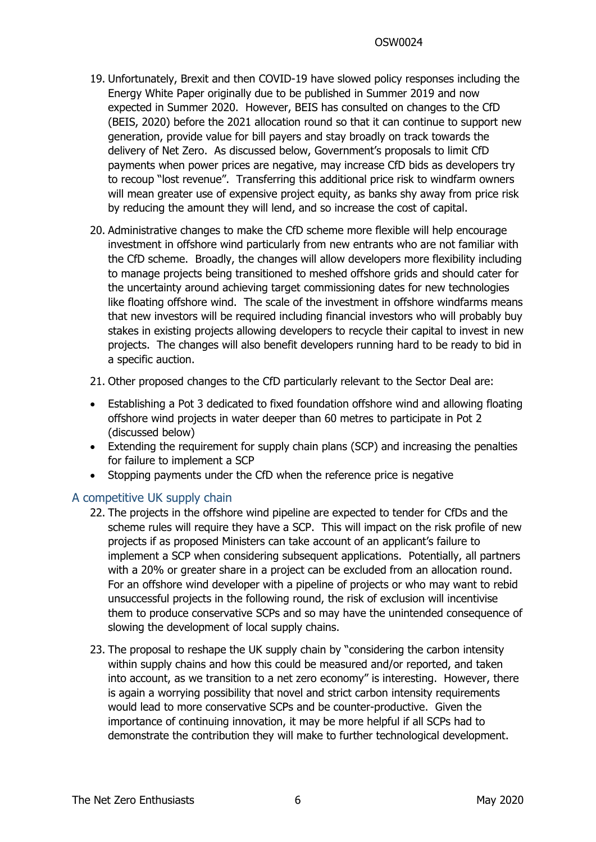- 19. Unfortunately, Brexit and then COVID-19 have slowed policy responses including the Energy White Paper originally due to be published in Summer 2019 and now expected in Summer 2020. However, BEIS has consulted on changes to the CfD (BEIS, 2020) before the 2021 allocation round so that it can continue to support new generation, provide value for bill payers and stay broadly on track towards the delivery of Net Zero. As discussed below, Government's proposals to limit CfD payments when power prices are negative, may increase CfD bids as developers try to recoup "lost revenue". Transferring this additional price risk to windfarm owners will mean greater use of expensive project equity, as banks shy away from price risk by reducing the amount they will lend, and so increase the cost of capital.
- 20. Administrative changes to make the CfD scheme more flexible will help encourage investment in offshore wind particularly from new entrants who are not familiar with the CfD scheme. Broadly, the changes will allow developers more flexibility including to manage projects being transitioned to meshed offshore grids and should cater for the uncertainty around achieving target commissioning dates for new technologies like floating offshore wind. The scale of the investment in offshore windfarms means that new investors will be required including financial investors who will probably buy stakes in existing projects allowing developers to recycle their capital to invest in new projects. The changes will also benefit developers running hard to be ready to bid in a specific auction.
- 21. Other proposed changes to the CfD particularly relevant to the Sector Deal are:
- Establishing a Pot 3 dedicated to fixed foundation offshore wind and allowing floating offshore wind projects in water deeper than 60 metres to participate in Pot 2 (discussed below)
- Extending the requirement for supply chain plans (SCP) and increasing the penalties for failure to implement a SCP
- Stopping payments under the CfD when the reference price is negative

### A competitive UK supply chain

- 22. The projects in the offshore wind pipeline are expected to tender for CfDs and the scheme rules will require they have a SCP. This will impact on the risk profile of new projects if as proposed Ministers can take account of an applicant's failure to implement a SCP when considering subsequent applications. Potentially, all partners with a 20% or greater share in a project can be excluded from an allocation round. For an offshore wind developer with a pipeline of projects or who may want to rebid unsuccessful projects in the following round, the risk of exclusion will incentivise them to produce conservative SCPs and so may have the unintended consequence of slowing the development of local supply chains.
- 23. The proposal to reshape the UK supply chain by "considering the carbon intensity within supply chains and how this could be measured and/or reported, and taken into account, as we transition to a net zero economy" is interesting. However, there is again a worrying possibility that novel and strict carbon intensity requirements would lead to more conservative SCPs and be counter-productive. Given the importance of continuing innovation, it may be more helpful if all SCPs had to demonstrate the contribution they will make to further technological development.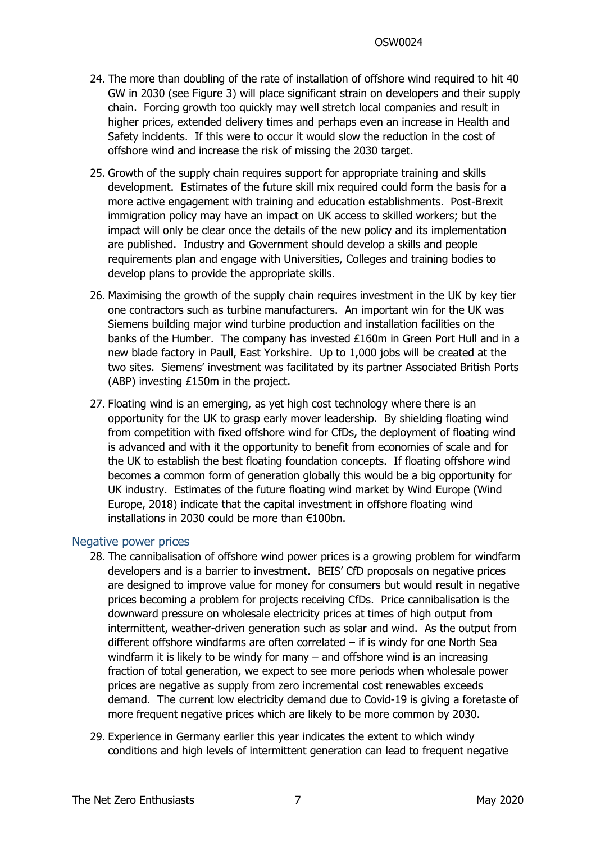- 24. The more than doubling of the rate of installation of offshore wind required to hit 40 GW in 2030 (see [Figure](#page-11-0) [3](#page-11-0)) will place significant strain on developers and their supply chain. Forcing growth too quickly may well stretch local companies and result in higher prices, extended delivery times and perhaps even an increase in Health and Safety incidents. If this were to occur it would slow the reduction in the cost of offshore wind and increase the risk of missing the 2030 target.
- 25. Growth of the supply chain requires support for appropriate training and skills development. Estimates of the future skill mix required could form the basis for a more active engagement with training and education establishments. Post-Brexit immigration policy may have an impact on UK access to skilled workers; but the impact will only be clear once the details of the new policy and its implementation are published. Industry and Government should develop a skills and people requirements plan and engage with Universities, Colleges and training bodies to develop plans to provide the appropriate skills.
- 26. Maximising the growth of the supply chain requires investment in the UK by key tier one contractors such as turbine manufacturers. An important win for the UK was Siemens building major wind turbine production and installation facilities on the banks of the Humber. The company has invested £160m in Green Port Hull and in a new blade factory in Paull, East Yorkshire. Up to 1,000 jobs will be created at the two sites. Siemens' investment was facilitated by its partner Associated British Ports (ABP) investing £150m in the project.
- 27. Floating wind is an emerging, as yet high cost technology where there is an opportunity for the UK to grasp early mover leadership. By shielding floating wind from competition with fixed offshore wind for CfDs, the deployment of floating wind is advanced and with it the opportunity to benefit from economies of scale and for the UK to establish the best floating foundation concepts. If floating offshore wind becomes a common form of generation globally this would be a big opportunity for UK industry. Estimates of the future floating wind market by Wind Europe (Wind Europe, 2018) indicate that the capital investment in offshore floating wind installations in 2030 could be more than €100bn.

### Negative power prices

- 28. The cannibalisation of offshore wind power prices is a growing problem for windfarm developers and is a barrier to investment. BEIS' CfD proposals on negative prices are designed to improve value for money for consumers but would result in negative prices becoming a problem for projects receiving CfDs. Price cannibalisation is the downward pressure on wholesale electricity prices at times of high output from intermittent, weather-driven generation such as solar and wind. As the output from different offshore windfarms are often correlated – if is windy for one North Sea windfarm it is likely to be windy for many – and offshore wind is an increasing fraction of total generation, we expect to see more periods when wholesale power prices are negative as supply from zero incremental cost renewables exceeds demand. The current low electricity demand due to Covid-19 is giving a foretaste of more frequent negative prices which are likely to be more common by 2030.
- 29. Experience in Germany earlier this year indicates the extent to which windy conditions and high levels of intermittent generation can lead to frequent negative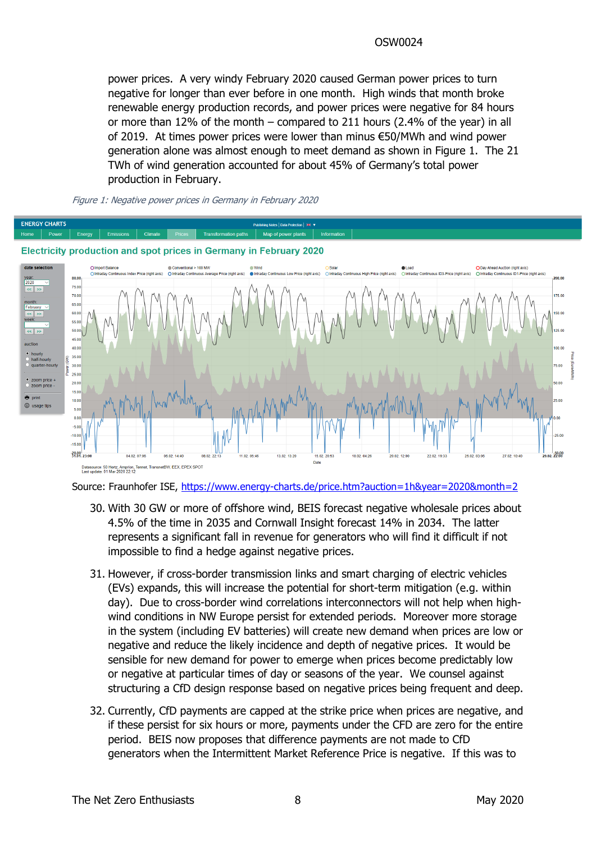power prices. A very windy February 2020 caused German power prices to turn negative for longer than ever before in one month. High winds that month broke renewable energy production records, and power prices were negative for 84 hours or more than 12% of the month – compared to 211 hours (2.4% of the year) in all of 2019. At times power prices were lower than minus €50/MWh and wind power generation alone was almost enough to meet demand as shown in [Figure](#page-7-0) [1.](#page-7-0) The 21 TWh of wind generation accounted for about 45% of Germany's total power production in February.



#### <span id="page-7-0"></span>*Figure 1: Negative power prices in Germany in February 2020*

Source: Fraunhofer ISE, <https://www.energy-charts.de/price.htm?auction=1h&year=2020&month=2>

- 30. With 30 GW or more of offshore wind, BEIS forecast negative wholesale prices about 4.5% of the time in 2035 and Cornwall Insight forecast 14% in 2034. The latter represents a significant fall in revenue for generators who will find it difficult if not impossible to find a hedge against negative prices.
- 31. However, if cross-border transmission links and smart charging of electric vehicles (EVs) expands, this will increase the potential for short-term mitigation (e.g. within day). Due to cross-border wind correlations interconnectors will not help when highwind conditions in NW Europe persist for extended periods. Moreover more storage in the system (including EV batteries) will create new demand when prices are low or negative and reduce the likely incidence and depth of negative prices. It would be sensible for new demand for power to emerge when prices become predictably low or negative at particular times of day or seasons of the year. We counsel against structuring a CfD design response based on negative prices being frequent and deep.
- 32. Currently, CfD payments are capped at the strike price when prices are negative, and if these persist for six hours or more, payments under the CFD are zero for the entire period. BEIS now proposes that difference payments are not made to CfD generators when the Intermittent Market Reference Price is negative. If this was to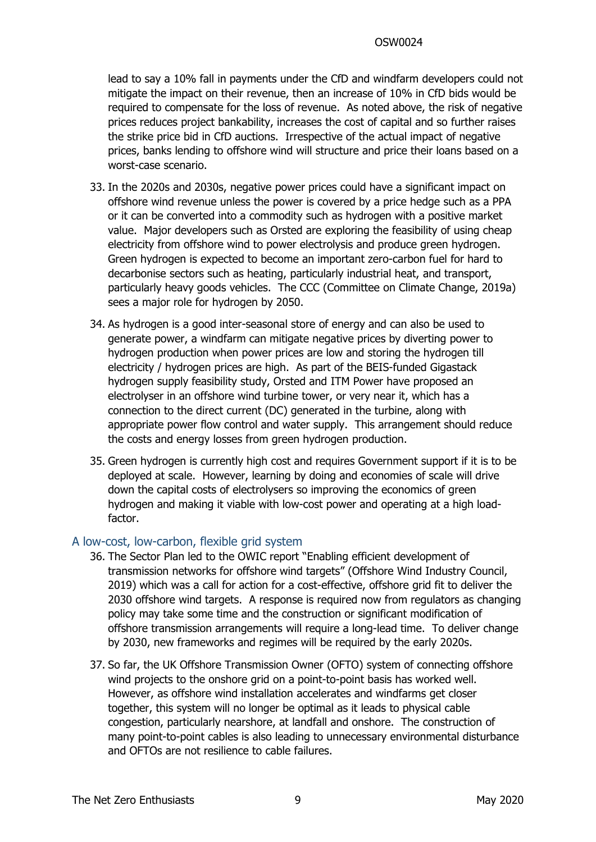lead to say a 10% fall in payments under the CfD and windfarm developers could not mitigate the impact on their revenue, then an increase of 10% in CfD bids would be required to compensate for the loss of revenue. As noted above, the risk of negative prices reduces project bankability, increases the cost of capital and so further raises the strike price bid in CfD auctions. Irrespective of the actual impact of negative prices, banks lending to offshore wind will structure and price their loans based on a worst-case scenario.

- <span id="page-8-0"></span>33. In the 2020s and 2030s, negative power prices could have a significant impact on offshore wind revenue unless the power is covered by a price hedge such as a PPA or it can be converted into a commodity such as hydrogen with a positive market value. Major developers such as Orsted are exploring the feasibility of using cheap electricity from offshore wind to power electrolysis and produce green hydrogen. Green hydrogen is expected to become an important zero-carbon fuel for hard to decarbonise sectors such as heating, particularly industrial heat, and transport, particularly heavy goods vehicles. The CCC (Committee on Climate Change, 2019a) sees a major role for hydrogen by 2050.
- 34. As hydrogen is a good inter-seasonal store of energy and can also be used to generate power, a windfarm can mitigate negative prices by diverting power to hydrogen production when power prices are low and storing the hydrogen till electricity / hydrogen prices are high. As part of the BEIS-funded Gigastack hydrogen supply feasibility study, Orsted and ITM Power have proposed an electrolyser in an offshore wind turbine tower, or very near it, which has a connection to the direct current (DC) generated in the turbine, along with appropriate power flow control and water supply. This arrangement should reduce the costs and energy losses from green hydrogen production.
- <span id="page-8-1"></span>35. Green hydrogen is currently high cost and requires Government support if it is to be deployed at scale. However, learning by doing and economies of scale will drive down the capital costs of electrolysers so improving the economics of green hydrogen and making it viable with low-cost power and operating at a high loadfactor.

### A low-cost, low-carbon, flexible grid system

- 36. The Sector Plan led to the OWIC report "Enabling efficient development of transmission networks for offshore wind targets" (Offshore Wind Industry Council, 2019) which was a call for action for a cost-effective, offshore grid fit to deliver the 2030 offshore wind targets. A response is required now from regulators as changing policy may take some time and the construction or significant modification of offshore transmission arrangements will require a long-lead time. To deliver change by 2030, new frameworks and regimes will be required by the early 2020s.
- 37. So far, the UK Offshore Transmission Owner (OFTO) system of connecting offshore wind projects to the onshore grid on a point-to-point basis has worked well. However, as offshore wind installation accelerates and windfarms get closer together, this system will no longer be optimal as it leads to physical cable congestion, particularly nearshore, at landfall and onshore. The construction of many point-to-point cables is also leading to unnecessary environmental disturbance and OFTOs are not resilience to cable failures.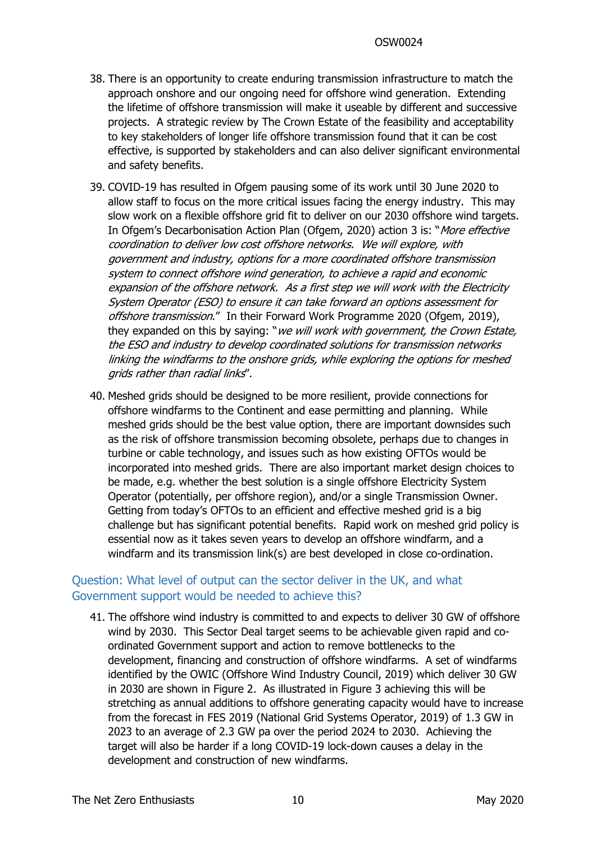- 38. There is an opportunity to create enduring transmission infrastructure to match the approach onshore and our ongoing need for offshore wind generation. Extending the lifetime of offshore transmission will make it useable by different and successive projects. A strategic review by The Crown Estate of the feasibility and acceptability to key stakeholders of longer life offshore transmission found that it can be cost effective, is supported by stakeholders and can also deliver significant environmental and safety benefits.
- 39. COVID-19 has resulted in Ofgem pausing some of its work until 30 June 2020 to allow staff to focus on the more critical issues facing the energy industry. This may slow work on a flexible offshore grid fit to deliver on our 2030 offshore wind targets. In Ofgem's Decarbonisation Action Plan (Ofgem, 2020) action 3 is: "*More effective coordination to deliver low cost offshore networks. We will explore, with government and industry, options for <sup>a</sup> more coordinated offshore transmission system to connect offshore wind generation, to achieve <sup>a</sup> rapid and economic expansion of the offshore network. As <sup>a</sup> first step we will work with the Electricity System Operator (ESO) to ensure it can take forward an options assessment for offshore transmission*." In their Forward Work Programme 2020 (Ofgem, 2019), they expanded on this by saying: "*we will work with government, the Crown Estate, the ESO and industry to develop coordinated solutions for transmission networks linking the windfarms to the onshore grids, while exploring the options for meshed grids rather than radial links*".
- <span id="page-9-0"></span>40. Meshed grids should be designed to be more resilient, provide connections for offshore windfarms to the Continent and ease permitting and planning. While meshed grids should be the best value option, there are important downsides such as the risk of offshore transmission becoming obsolete, perhaps due to changes in turbine or cable technology, and issues such as how existing OFTOs would be incorporated into meshed grids. There are also important market design choices to be made, e.g. whether the best solution is a single offshore Electricity System Operator (potentially, per offshore region), and/or a single Transmission Owner. Getting from today's OFTOs to an efficient and effective meshed grid is a big challenge but has significant potential benefits. Rapid work on meshed grid policy is essential now as it takes seven years to develop an offshore windfarm, and a windfarm and its transmission link(s) are best developed in close co-ordination.

## Question: What level of output can the sector deliver in the UK, and what Government support would be needed to achieve this?

41. The offshore wind industry is committed to and expects to deliver 30 GW of offshore wind by 2030. This Sector Deal target seems to be achievable given rapid and coordinated Government support and action to remove bottlenecks to the development, financing and construction of offshore windfarms. A set of windfarms identified by the OWIC (Offshore Wind Industry Council, 2019) which deliver 30 GW in 2030 are shown in [Figure](#page-10-1) [2](#page-10-1). As illustrated in [Figure](#page-11-0) [3](#page-11-0) achieving this will be stretching as annual additions to offshore generating capacity would have to increase from the forecast in FES 2019 (National Grid Systems Operator, 2019) of 1.3 GW in 2023 to an average of 2.3 GW pa over the period 2024 to 2030. Achieving the target will also be harder if a long COVID-19 lock-down causes a delay in the development and construction of new windfarms.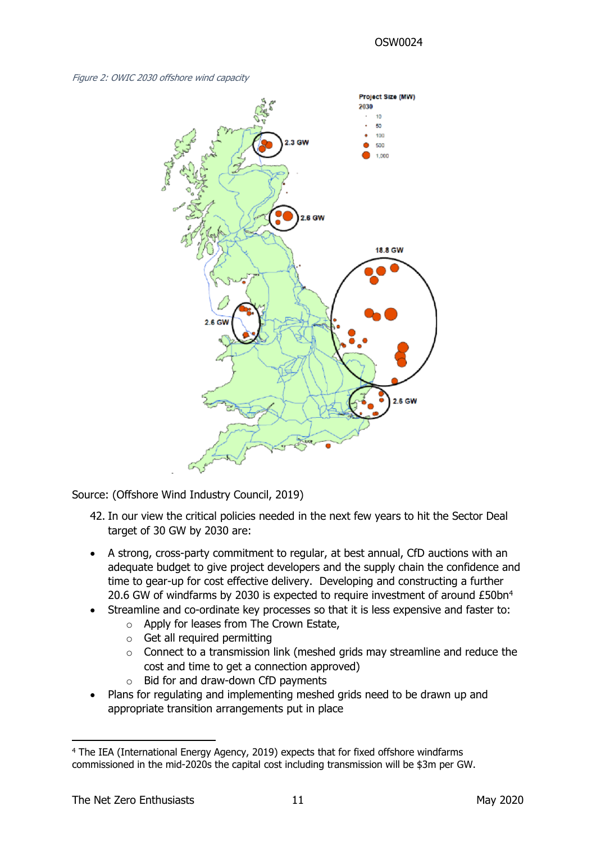

<span id="page-10-1"></span>*Figure 2: OWIC 2030 offshore wind capacity*

Source: (Offshore Wind Industry Council, 2019)

- <span id="page-10-0"></span>42. In our view the critical policies needed in the next few years to hit the Sector Deal target of 30 GW by 2030 are:
- A strong, cross-party commitment to regular, at best annual, CfD auctions with an adequate budget to give project developers and the supply chain the confidence and time to gear-up for cost effective delivery. Developing and constructing a further 20.6 GW of windfarms by 2030 is expected to require investment of around £50bn<sup>4</sup>
- Streamline and co-ordinate key processes so that it is less expensive and faster to:
	- o Apply for leases from The Crown Estate,
	- o Get all required permitting
	- o Connect to a transmission link (meshed grids may streamline and reduce the cost and time to get a connection approved)
	- o Bid for and draw-down CfD payments
- Plans for regulating and implementing meshed grids need to be drawn up and appropriate transition arrangements put in place

<sup>4</sup> The IEA (International Energy Agency, 2019) expects that for fixed offshore windfarms commissioned in the mid-2020s the capital cost including transmission will be \$3m per GW.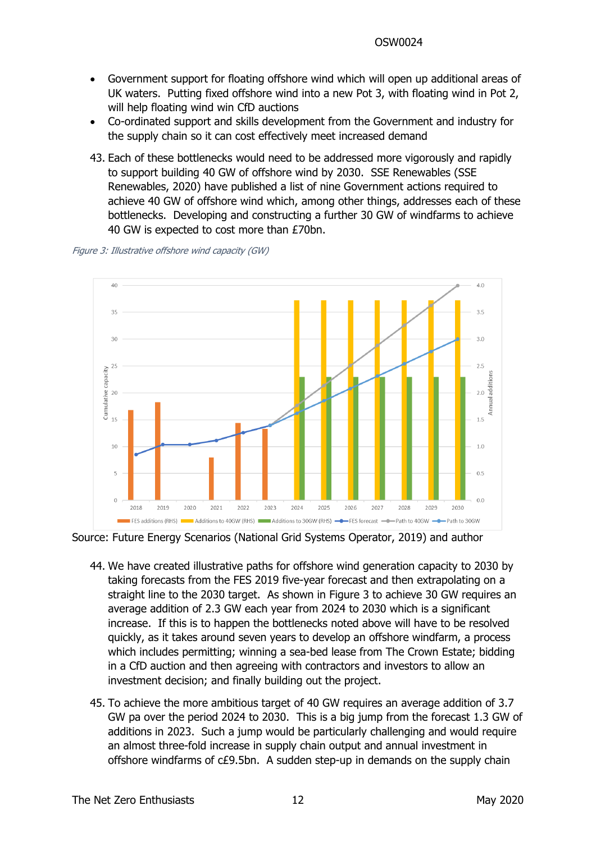- Government support for floating offshore wind which will open up additional areas of UK waters. Putting fixed offshore wind into a new Pot 3, with floating wind in Pot 2, will help floating wind win CfD auctions
- Co-ordinated support and skills development from the Government and industry for the supply chain so it can cost effectively meet increased demand
- 43. Each of these bottlenecks would need to be addressed more vigorously and rapidly to support building 40 GW of offshore wind by 2030. SSE Renewables (SSE Renewables, 2020) have published a list of nine Government actions required to achieve 40 GW of offshore wind which, among other things, addresses each of these bottlenecks. Developing and constructing a further 30 GW of windfarms to achieve 40 GW is expected to cost more than £70bn.



<span id="page-11-0"></span>*Figure 3: Illustrative offshore wind capacity (GW)*

Source: Future Energy Scenarios (National Grid Systems Operator, 2019) and author

- 44. We have created illustrative paths for offshore wind generation capacity to 2030 by taking forecasts from the FES 2019 five-year forecast and then extrapolating on a straight line to the 2030 target. As shown in [Figure](#page-11-0) [3](#page-11-0) to achieve 30 GW requires an average addition of 2.3 GW each year from 2024 to 2030 which is a significant increase. If this is to happen the bottlenecks noted above will have to be resolved quickly, as it takes around seven years to develop an offshore windfarm, a process which includes permitting; winning a sea-bed lease from The Crown Estate; bidding in a CfD auction and then agreeing with contractors and investors to allow an investment decision; and finally building out the project.
- 45. To achieve the more ambitious target of 40 GW requires an average addition of 3.7 GW pa over the period 2024 to 2030. This is a big jump from the forecast 1.3 GW of additions in 2023. Such a jump would be particularly challenging and would require an almost three-fold increase in supply chain output and annual investment in offshore windfarms of c£9.5bn. A sudden step-up in demands on the supply chain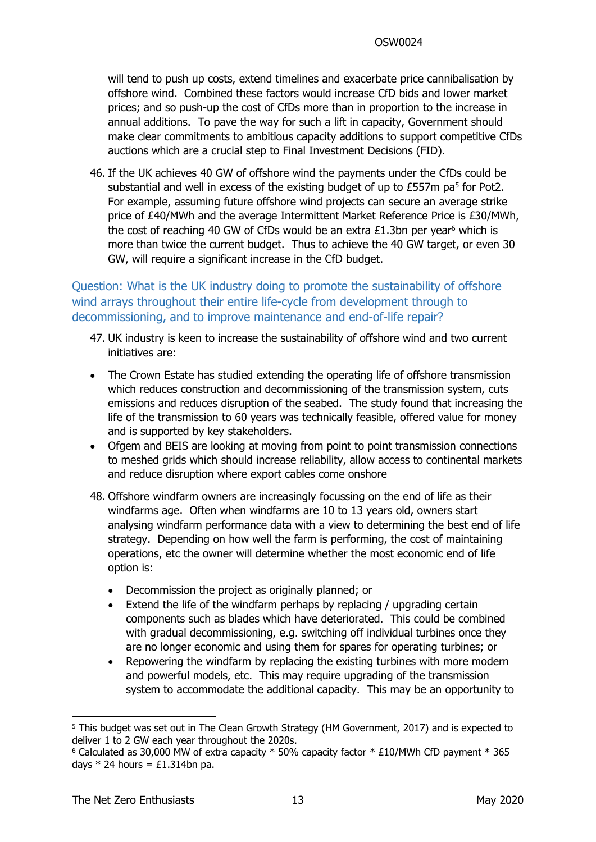will tend to push up costs, extend timelines and exacerbate price cannibalisation by offshore wind. Combined these factors would increase CfD bids and lower market prices; and so push-up the cost of CfDs more than in proportion to the increase in annual additions. To pave the way for such a lift in capacity, Government should make clear commitments to ambitious capacity additions to support competitive CfDs auctions which are a crucial step to Final Investment Decisions (FID).

<span id="page-12-0"></span>46. If the UK achieves 40 GW of offshore wind the payments under the CfDs could be substantial and well in excess of the existing budget of up to  $£557m$  pa<sup>5</sup> for Pot2. For example, assuming future offshore wind projects can secure an average strike price of £40/MWh and the average Intermittent Market Reference Price is £30/MWh, the cost of reaching 40 GW of CfDs would be an extra £1.3bn per year<sup>6</sup> which is more than twice the current budget. Thus to achieve the 40 GW target, or even 30 GW, will require a significant increase in the CfD budget.

Question: What is the UK industry doing to promote the sustainability of offshore wind arrays throughout their entire life-cycle from development through to decommissioning, and to improve maintenance and end-of-life repair?

- 47. UK industry is keen to increase the sustainability of offshore wind and two current initiatives are:
- The Crown Estate has studied extending the operating life of offshore transmission which reduces construction and decommissioning of the transmission system, cuts emissions and reduces disruption of the seabed. The study found that increasing the life of the transmission to 60 years was technically feasible, offered value for money and is supported by key stakeholders.
- Ofgem and BEIS are looking at moving from point to point transmission connections to meshed grids which should increase reliability, allow access to continental markets and reduce disruption where export cables come onshore
- 48. Offshore windfarm owners are increasingly focussing on the end of life as their windfarms age. Often when windfarms are 10 to 13 years old, owners start analysing windfarm performance data with a view to determining the best end of life strategy. Depending on how well the farm is performing, the cost of maintaining operations, etc the owner will determine whether the most economic end of life option is:
	- Decommission the project as originally planned; or
	- Extend the life of the windfarm perhaps by replacing / upgrading certain components such as blades which have deteriorated. This could be combined with gradual decommissioning, e.g. switching off individual turbines once they are no longer economic and using them for spares for operating turbines; or
	- Repowering the windfarm by replacing the existing turbines with more modern and powerful models, etc. This may require upgrading of the transmission system to accommodate the additional capacity. This may be an opportunity to

<sup>5</sup> This budget was set out in The Clean Growth Strategy (HM Government, 2017) and is expected to deliver 1 to 2 GW each year throughout the 2020s.

 $6$  Calculated as 30,000 MW of extra capacity  $*$  50% capacity factor  $*$  £10/MWh CfD payment  $*$  365 days  $*$  24 hours = £1.314bn pa.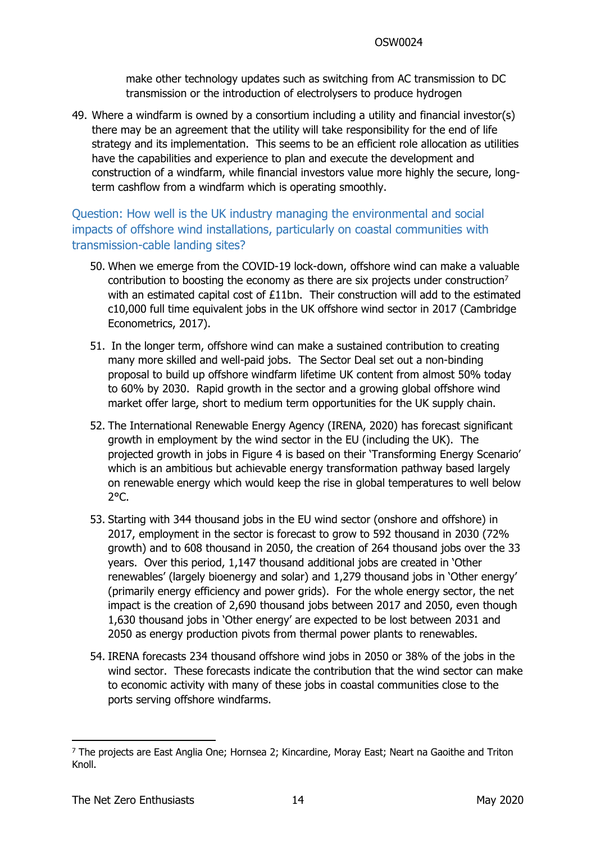make other technology updates such as switching from AC transmission to DC transmission or the introduction of electrolysers to produce hydrogen

49. Where a windfarm is owned by a consortium including a utility and financial investor(s) there may be an agreement that the utility will take responsibility for the end of life strategy and its implementation. This seems to be an efficient role allocation as utilities have the capabilities and experience to plan and execute the development and construction of a windfarm, while financial investors value more highly the secure, longterm cashflow from a windfarm which is operating smoothly.

Question: How well is the UK industry managing the environmental and social impacts of offshore wind installations, particularly on coastal communities with transmission-cable landing sites?

- <span id="page-13-0"></span>50. When we emerge from the COVID-19 lock-down, offshore wind can make a valuable contribution to boosting the economy as there are six projects under construction<sup>7</sup> with an estimated capital cost of £11bn. Their construction will add to the estimated c10,000 full time equivalent jobs in the UK offshore wind sector in 2017 (Cambridge Econometrics, 2017).
- 51. In the longer term, offshore wind can make a sustained contribution to creating many more skilled and well-paid jobs. The Sector Deal set out a non-binding proposal to build up offshore windfarm lifetime UK content from almost 50% today to 60% by 2030. Rapid growth in the sector and a growing global offshore wind market offer large, short to medium term opportunities for the UK supply chain.
- <span id="page-13-1"></span>52. The International Renewable Energy Agency (IRENA, 2020) has forecast significant growth in employment by the wind sector in the EU (including the UK). The projected growth in jobs in [Figure](#page-14-0) [4](#page-14-0) is based on their 'Transforming Energy Scenario' which is an ambitious but achievable energy transformation pathway based largely on renewable energy which would keep the rise in global temperatures to well below 2°C.
- 53. Starting with 344 thousand jobs in the EU wind sector (onshore and offshore) in 2017, employment in the sector is forecast to grow to 592 thousand in 2030 (72% growth) and to 608 thousand in 2050, the creation of 264 thousand jobs over the 33 years. Over this period, 1,147 thousand additional jobs are created in 'Other renewables' (largely bioenergy and solar) and 1,279 thousand jobs in 'Other energy' (primarily energy efficiency and power grids). For the whole energy sector, the net impact is the creation of 2,690 thousand jobs between 2017 and 2050, even though 1,630 thousand jobs in 'Other energy' are expected to be lost between 2031 and 2050 as energy production pivots from thermal power plants to renewables.
- 54. IRENA forecasts 234 thousand offshore wind jobs in 2050 or 38% of the jobs in the wind sector. These forecasts indicate the contribution that the wind sector can make to economic activity with many of these jobs in coastal communities close to the ports serving offshore windfarms.

<sup>7</sup> The projects are East Anglia One; Hornsea 2; Kincardine, Moray East; Neart na Gaoithe and Triton Knoll.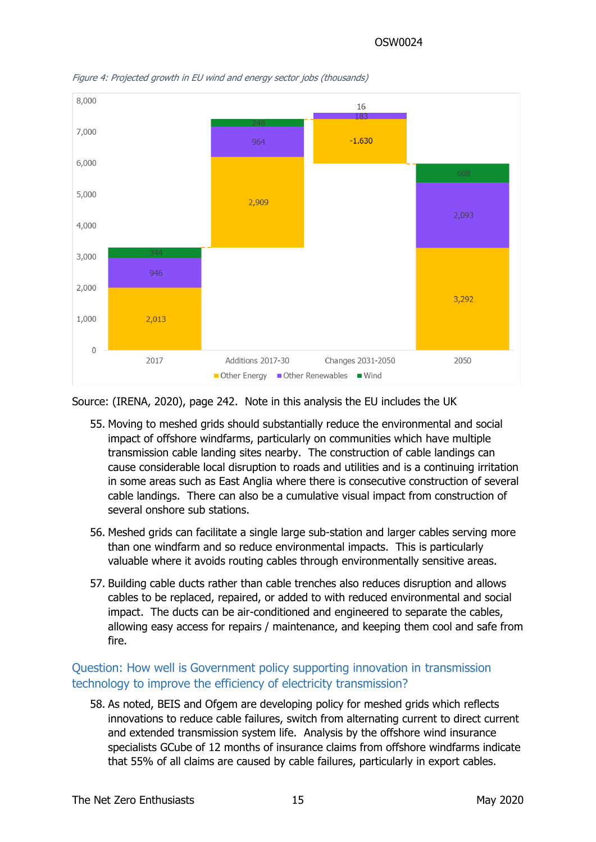

<span id="page-14-0"></span>*Figure 4: Projected growth in EU wind and energy sector jobs (thousands)*

Source: (IRENA, 2020), page 242. Note in this analysis the EU includes the UK

- 55. Moving to meshed grids should substantially reduce the environmental and social impact of offshore windfarms, particularly on communities which have multiple transmission cable landing sites nearby. The construction of cable landings can cause considerable local disruption to roads and utilities and is a continuing irritation in some areas such as East Anglia where there is consecutive construction of several cable landings. There can also be a cumulative visual impact from construction of several onshore sub stations.
- 56. Meshed grids can facilitate a single large sub-station and larger cables serving more than one windfarm and so reduce environmental impacts. This is particularly valuable where it avoids routing cables through environmentally sensitive areas.
- 57. Building cable ducts rather than cable trenches also reduces disruption and allows cables to be replaced, repaired, or added to with reduced environmental and social impact. The ducts can be air-conditioned and engineered to separate the cables, allowing easy access for repairs / maintenance, and keeping them cool and safe from fire.

## Question: How well is Government policy supporting innovation in transmission technology to improve the efficiency of electricity transmission?

58. As noted, BEIS and Ofgem are developing policy for meshed grids which reflects innovations to reduce cable failures, switch from alternating current to direct current and extended transmission system life. Analysis by the offshore wind insurance specialists GCube of 12 months of insurance claims from offshore windfarms indicate that 55% of all claims are caused by cable failures, particularly in export cables.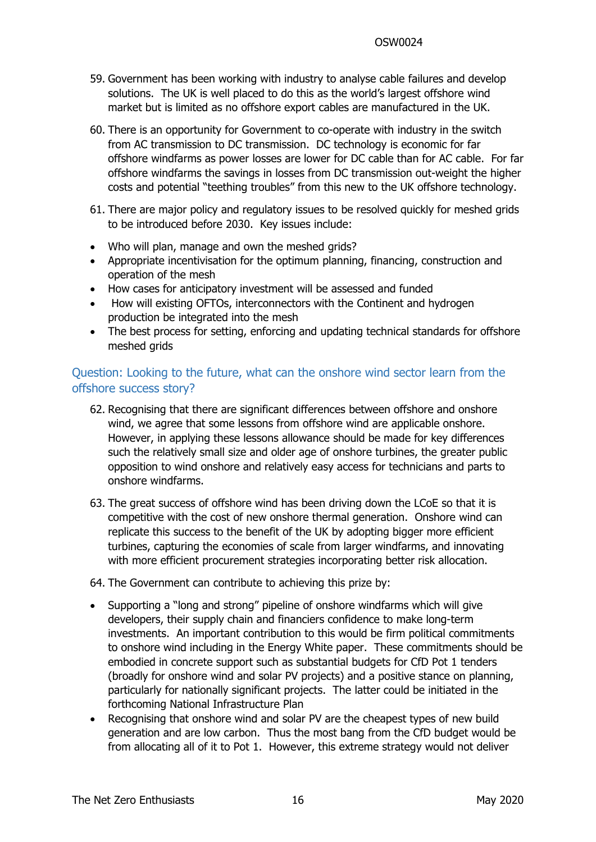- 59. Government has been working with industry to analyse cable failures and develop solutions. The UK is well placed to do this as the world's largest offshore wind market but is limited as no offshore export cables are manufactured in the UK.
- 60. There is an opportunity for Government to co-operate with industry in the switch from AC transmission to DC transmission. DC technology is economic for far offshore windfarms as power losses are lower for DC cable than for AC cable. For far offshore windfarms the savings in losses from DC transmission out-weight the higher costs and potential "teething troubles" from this new to the UK offshore technology.
- 61. There are major policy and regulatory issues to be resolved quickly for meshed grids to be introduced before 2030. Key issues include:
- Who will plan, manage and own the meshed grids?
- Appropriate incentivisation for the optimum planning, financing, construction and operation of the mesh
- How cases for anticipatory investment will be assessed and funded
- How will existing OFTOs, interconnectors with the Continent and hydrogen production be integrated into the mesh
- The best process for setting, enforcing and updating technical standards for offshore meshed arids

## Question: Looking to the future, what can the onshore wind sector learn from the offshore success story?

- 62. Recognising that there are significant differences between offshore and onshore wind, we agree that some lessons from offshore wind are applicable onshore. However, in applying these lessons allowance should be made for key differences such the relatively small size and older age of onshore turbines, the greater public opposition to wind onshore and relatively easy access for technicians and parts to onshore windfarms.
- 63. The great success of offshore wind has been driving down the LCoE so that it is competitive with the cost of new onshore thermal generation. Onshore wind can replicate this success to the benefit of the UK by adopting bigger more efficient turbines, capturing the economies of scale from larger windfarms, and innovating with more efficient procurement strategies incorporating better risk allocation.

64. The Government can contribute to achieving this prize by:

- Supporting a "long and strong" pipeline of onshore windfarms which will give developers, their supply chain and financiers confidence to make long-term investments. An important contribution to this would be firm political commitments to onshore wind including in the Energy White paper. These commitments should be embodied in concrete support such as substantial budgets for CfD Pot 1 tenders (broadly for onshore wind and solar PV projects) and a positive stance on planning, particularly for nationally significant projects. The latter could be initiated in the forthcoming National Infrastructure Plan
- Recognising that onshore wind and solar PV are the cheapest types of new build generation and are low carbon. Thus the most bang from the CfD budget would be from allocating all of it to Pot 1. However, this extreme strategy would not deliver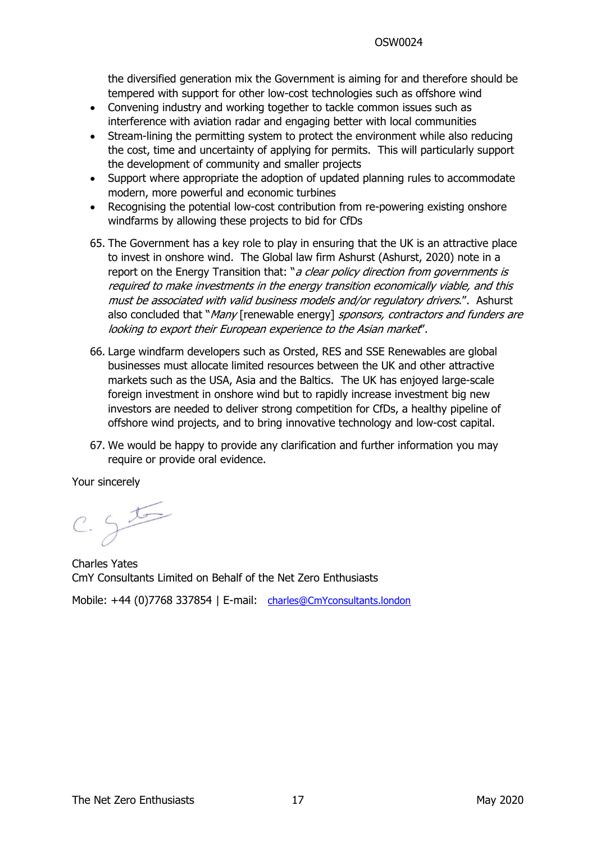the diversified generation mix the Government is aiming for and therefore should be tempered with support for other low-cost technologies such as offshore wind

- Convening industry and working together to tackle common issues such as interference with aviation radar and engaging better with local communities
- Stream-lining the permitting system to protect the environment while also reducing the cost, time and uncertainty of applying for permits. This will particularly support the development of community and smaller projects
- Support where appropriate the adoption of updated planning rules to accommodate modern, more powerful and economic turbines
- Recognising the potential low-cost contribution from re-powering existing onshore windfarms by allowing these projects to bid for CfDs
- 65. The Government has a key role to play in ensuring that the UK is an attractive place to invest in onshore wind. The Global law firm Ashurst (Ashurst, 2020) note in a report on the Energy Transition that: "*<sup>a</sup> clear policy direction from governments is required to make investments in the energy transition economically viable, and this must be associated with valid business models and/or regulatory drivers*.". Ashurst also concluded that "*Many* [renewable energy] *sponsors, contractors and funders are looking to export their European experience to the Asian market*".
- 66. Large windfarm developers such as Orsted, RES and SSE Renewables are global businesses must allocate limited resources between the UK and other attractive markets such as the USA, Asia and the Baltics. The UK has enjoyed large-scale foreign investment in onshore wind but to rapidly increase investment big new investors are needed to deliver strong competition for CfDs, a healthy pipeline of offshore wind projects, and to bring innovative technology and low-cost capital.
- 67. We would be happy to provide any clarification and further information you may require or provide oral evidence.

Your sincerely

 $c.55$ 

Charles Yates CmY Consultants Limited on Behalf of the Net Zero Enthusiasts

Mobile: +44 (0)7768 337854 | E-mail: [charles@CmYconsultants.london](mailto:charles@cmyconsultants.london)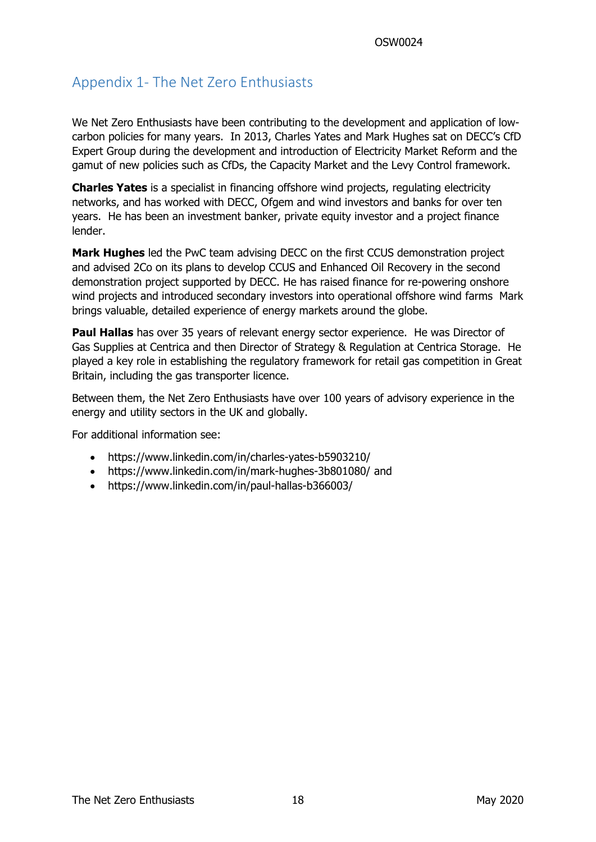# Appendix 1- The Net Zero Enthusiasts

We Net Zero Enthusiasts have been contributing to the development and application of lowcarbon policies for many years. In 2013, Charles Yates and Mark Hughes sat on DECC's CfD Expert Group during the development and introduction of Electricity Market Reform and the gamut of new policies such as CfDs, the Capacity Market and the Levy Control framework.

**Charles Yates** is a specialist in financing offshore wind projects, regulating electricity networks, and has worked with DECC, Ofgem and wind investors and banks for over ten years. He has been an investment banker, private equity investor and a project finance lender.

**Mark Hughes** led the PwC team advising DECC on the first CCUS demonstration project and advised 2Co on its plans to develop CCUS and Enhanced Oil Recovery in the second demonstration project supported by DECC. He has raised finance for re-powering onshore wind projects and introduced secondary investors into operational offshore wind farms Mark brings valuable, detailed experience of energy markets around the globe.

**Paul Hallas** has over 35 years of relevant energy sector experience. He was Director of Gas Supplies at Centrica and then Director of Strategy & Regulation at Centrica Storage. He played a key role in establishing the regulatory framework for retail gas competition in Great Britain, including the gas transporter licence.

Between them, the Net Zero Enthusiasts have over 100 years of advisory experience in the energy and utility sectors in the UK and globally.

For additional information see:

- https://www.linkedin.com/in/charles-yates-b5903210/
- https://www.linkedin.com/in/mark-hughes-3b801080/ and
- https://www.linkedin.com/in/paul-hallas-b366003/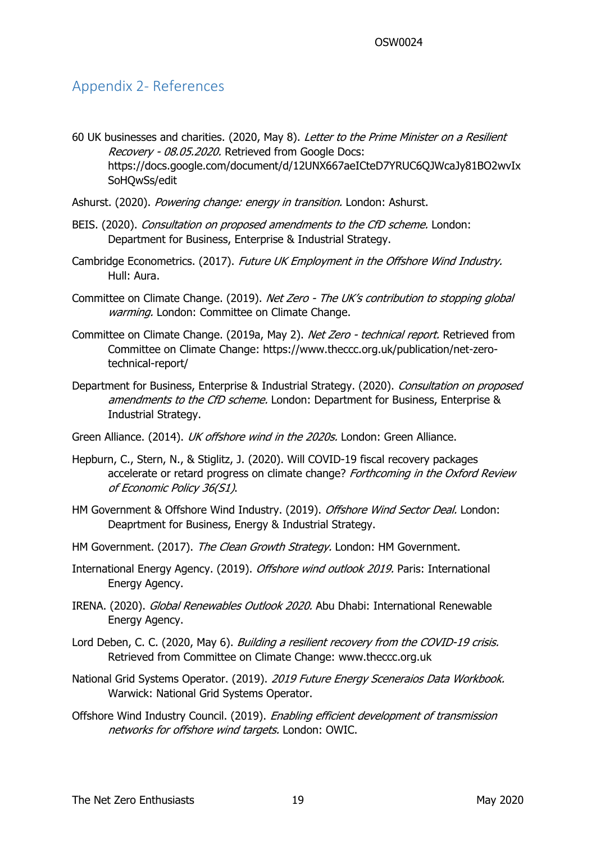## Appendix 2- References

- 60 UK businesses and charities. (2020, May 8). *Letter to the Prime Minister on <sup>a</sup> Resilient Recovery - 08.05.2020.* Retrieved from Google Docs: https://docs.google.com/document/d/12UNX667aeICteD7YRUC6QJWcaJy81BO2wvIx SoHQwSs/edit
- Ashurst. (2020). *Powering change: energy in transition.* London: Ashurst.
- BEIS. (2020). *Consultation on proposed amendments to the CfD scheme.* London: Department for Business, Enterprise & Industrial Strategy.
- Cambridge Econometrics. (2017). *Future UK Employment in the Offshore Wind Industry.* Hull: Aura.
- Committee on Climate Change. (2019). *Net Zero - The UK's contribution to stopping global warming.* London: Committee on Climate Change.
- Committee on Climate Change. (2019a, May 2). *Net Zero - technical report.* Retrieved from Committee on Climate Change: https://www.theccc.org.uk/publication/net-zerotechnical-report/
- Department for Business, Enterprise & Industrial Strategy. (2020). *Consultation on proposed amendments to the CfD scheme.* London: Department for Business, Enterprise & Industrial Strategy.
- Green Alliance. (2014). *UK offshore wind in the 2020s.* London: Green Alliance.
- Hepburn, C., Stern, N., & Stiglitz, J. (2020). Will COVID-19 fiscal recovery packages accelerate or retard progress on climate change? *Forthcoming in the Oxford Review of Economic Policy 36(S1)*.
- HM Government & Offshore Wind Industry. (2019). *Offshore Wind Sector Deal.* London: Deaprtment for Business, Energy & Industrial Strategy.
- HM Government. (2017). *The Clean Growth Strategy.* London: HM Government.
- International Energy Agency. (2019). *Offshore wind outlook 2019.* Paris: International Energy Agency.
- IRENA. (2020). *Global Renewables Outlook 2020.* Abu Dhabi: International Renewable Energy Agency.
- Lord Deben, C. C. (2020, May 6). *Building <sup>a</sup> resilient recovery from the COVID-19 crisis.* Retrieved from Committee on Climate Change: www.theccc.org.uk
- National Grid Systems Operator. (2019). *2019 Future Energy Sceneraios Data Workbook.* Warwick: National Grid Systems Operator.
- Offshore Wind Industry Council. (2019). *Enabling efficient development of transmission networks for offshore wind targets.* London: OWIC.